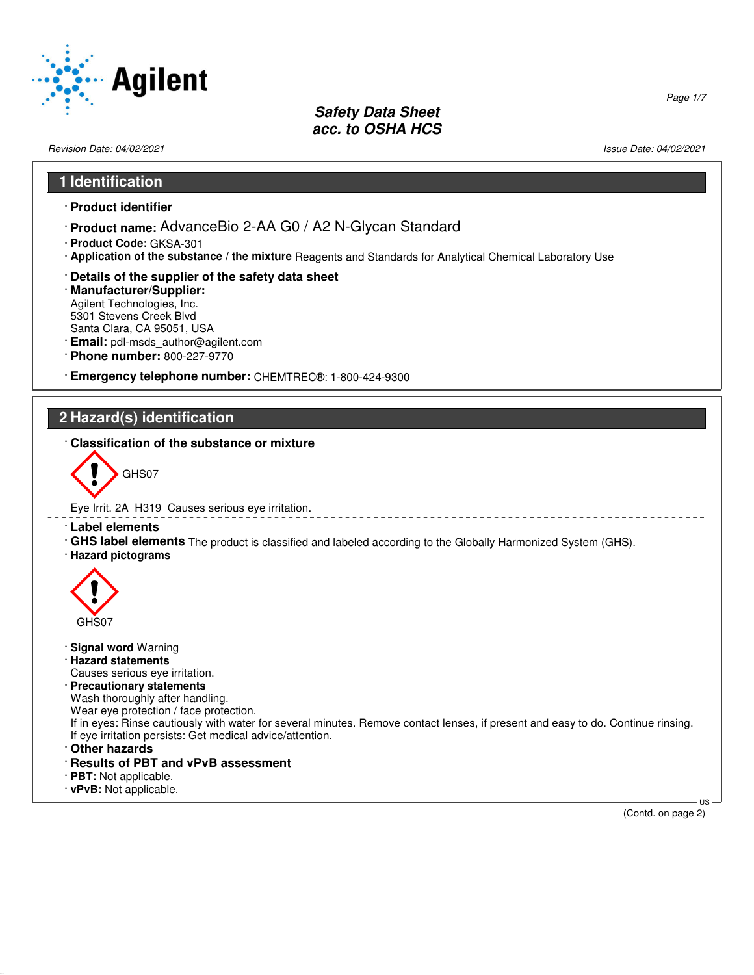

Revision Date: 04/02/2021 2012 2021 2022 20:30 20:30 20:30 20:30 20:30 20:30 20:30 20:30 20:30 20:30 20:30 20:30 20:30 20:30 20:30 20:30 20:30 20:30 20:30 20:30 20:30 20:30 20:30 20:30 20:30 20:30 20:30 20:30 20:30 20:30 2

### **1 Identification**

- · **Product identifier**
- · **Product name:** AdvanceBio 2-AA G0 / A2 N-Glycan Standard
- · **Product Code:** GKSA-301
- · **Application of the substance / the mixture** Reagents and Standards for Analytical Chemical Laboratory Use
- · **Details of the supplier of the safety data sheet**
- · **Manufacturer/Supplier:** Agilent Technologies, Inc. 5301 Stevens Creek Blvd Santa Clara, CA 95051, USA
- · **Email:** pdl-msds\_author@agilent.com
- · **Phone number:** 800-227-9770
- · **Emergency telephone number:** CHEMTREC®: 1-800-424-9300

### **2 Hazard(s) identification**

· **Classification of the substance or mixture**



- Eye Irrit. 2A H319 Causes serious eye irritation.
- · **Label elements**
- · **GHS label elements** The product is classified and labeled according to the Globally Harmonized System (GHS).
- · **Hazard pictograms**



- · **Signal word** Warning
- · **Hazard statements**
- Causes serious eye irritation.
- · **Precautionary statements**

Wash thoroughly after handling.

Wear eye protection / face protection.

- If in eyes: Rinse cautiously with water for several minutes. Remove contact lenses, if present and easy to do. Continue rinsing. If eye irritation persists: Get medical advice/attention.
- · **Other hazards**

52.0.1.1

- · **Results of PBT and vPvB assessment**
- · **PBT:** Not applicable.
- · **vPvB:** Not applicable.

 US (Contd. on page 2)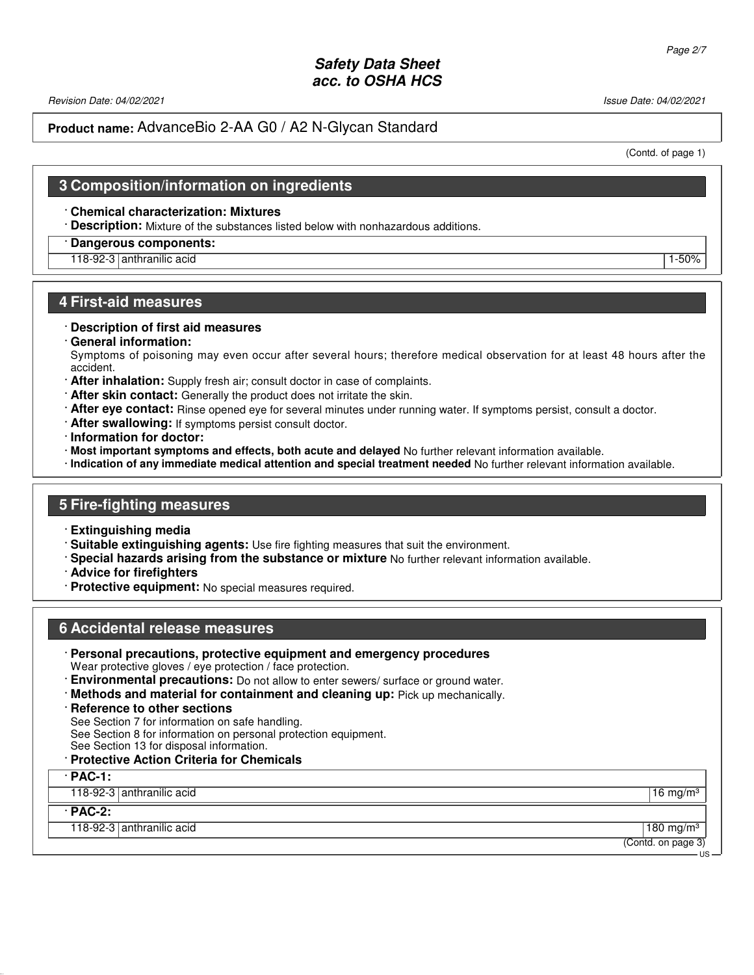Revision Date: 04/02/2021 2012 19:00 19:00 19:00 19:00 19:00 19:00 19:00 19:00 19:00 19:00 19:00 19:00 19:00 1

### **Product name:** AdvanceBio 2-AA G0 / A2 N-Glycan Standard

(Contd. of page 1)

### **3 Composition/information on ingredients**

#### · **Chemical characterization: Mixtures**

· **Description:** Mixture of the substances listed below with nonhazardous additions.

### · **Dangerous components:**

# 118-92-3 anthranilic acid 1-50%

#### **4 First-aid measures**

#### · **Description of first aid measures**

· **General information:**

Symptoms of poisoning may even occur after several hours; therefore medical observation for at least 48 hours after the accident.

- · **After inhalation:** Supply fresh air; consult doctor in case of complaints.
- · **After skin contact:** Generally the product does not irritate the skin.
- · **After eye contact:** Rinse opened eye for several minutes under running water. If symptoms persist, consult a doctor.
- · **After swallowing:** If symptoms persist consult doctor.
- · **Information for doctor:**
- · **Most important symptoms and effects, both acute and delayed** No further relevant information available.
- · **Indication of any immediate medical attention and special treatment needed** No further relevant information available.

#### **5 Fire-fighting measures**

- · **Extinguishing media**
- · **Suitable extinguishing agents:** Use fire fighting measures that suit the environment.
- · **Special hazards arising from the substance or mixture** No further relevant information available.
- · **Advice for firefighters**
- · **Protective equipment:** No special measures required.

#### **6 Accidental release measures**

- · **Personal precautions, protective equipment and emergency procedures** Wear protective gloves / eye protection / face protection.
- · **Environmental precautions:** Do not allow to enter sewers/ surface or ground water.
- · **Methods and material for containment and cleaning up:** Pick up mechanically.
- · **Reference to other sections**

See Section 7 for information on safe handling.

See Section 8 for information on personal protection equipment.

See Section 13 for disposal information.

### · **Protective Action Criteria for Chemicals**

#### · **PAC-1:**

118-92-3 anthranilic acid 16 mg/m<sup>3</sup> and 16 mg/m<sup>3</sup>

#### · **PAC-2:**

52.0.1.1

118-92-3 anthranilic acid 180 mg/m<sup>3</sup> and 180 mg/m<sup>3</sup> and 180 mg/m<sup>3</sup> and 180 mg/m<sup>3</sup>

(Contd. on page 3)

US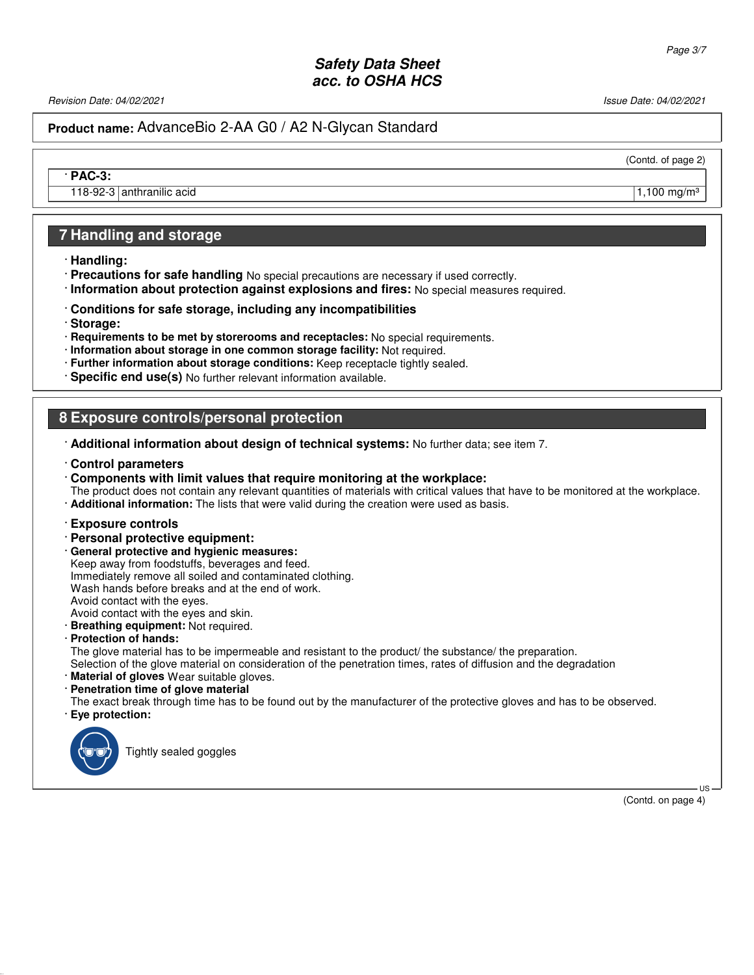Revision Date: 04/02/2021 2012 2021 2022 20:30 20:30 20:30 20:30 20:30 20:30 20:30 20:30 20:30 20:30 20:30 20:30 20:30 20:30 20:30 20:30 20:30 20:30 20:30 20:30 20:30 20:30 20:30 20:30 20:30 20:30 20:30 20:30 20:30 20:30 2

## **Product name:** AdvanceBio 2-AA G0 / A2 N-Glycan Standard

(Contd. of page 2)

· **PAC-3:**

118-92-3 anthranilic acid 1.100 mg/m<sup>3</sup>

# **7 Handling and storage**

- · **Handling:**
- · **Precautions for safe handling** No special precautions are necessary if used correctly.
- · **Information about protection against explosions and fires:** No special measures required.
- · **Conditions for safe storage, including any incompatibilities**
- · **Storage:**
- · **Requirements to be met by storerooms and receptacles:** No special requirements.
- · **Information about storage in one common storage facility:** Not required.
- · **Further information about storage conditions:** Keep receptacle tightly sealed.
- · **Specific end use(s)** No further relevant information available.

# **8 Exposure controls/personal protection**

- · **Additional information about design of technical systems:** No further data; see item 7.
- · **Control parameters**
- · **Components with limit values that require monitoring at the workplace:**

The product does not contain any relevant quantities of materials with critical values that have to be monitored at the workplace. · **Additional information:** The lists that were valid during the creation were used as basis.

#### · **Exposure controls**

- · **Personal protective equipment:**
- · **General protective and hygienic measures:**

Keep away from foodstuffs, beverages and feed. Immediately remove all soiled and contaminated clothing. Wash hands before breaks and at the end of work. Avoid contact with the eyes. Avoid contact with the eyes and skin.

· **Breathing equipment:** Not required.

· **Protection of hands:**

The glove material has to be impermeable and resistant to the product/ the substance/ the preparation.

- Selection of the glove material on consideration of the penetration times, rates of diffusion and the degradation
- · **Material of gloves** Wear suitable gloves.
- · **Penetration time of glove material**

The exact break through time has to be found out by the manufacturer of the protective gloves and has to be observed. · **Eye protection:**



52.0.1.1

Tightly sealed goggles

(Contd. on page 4)

US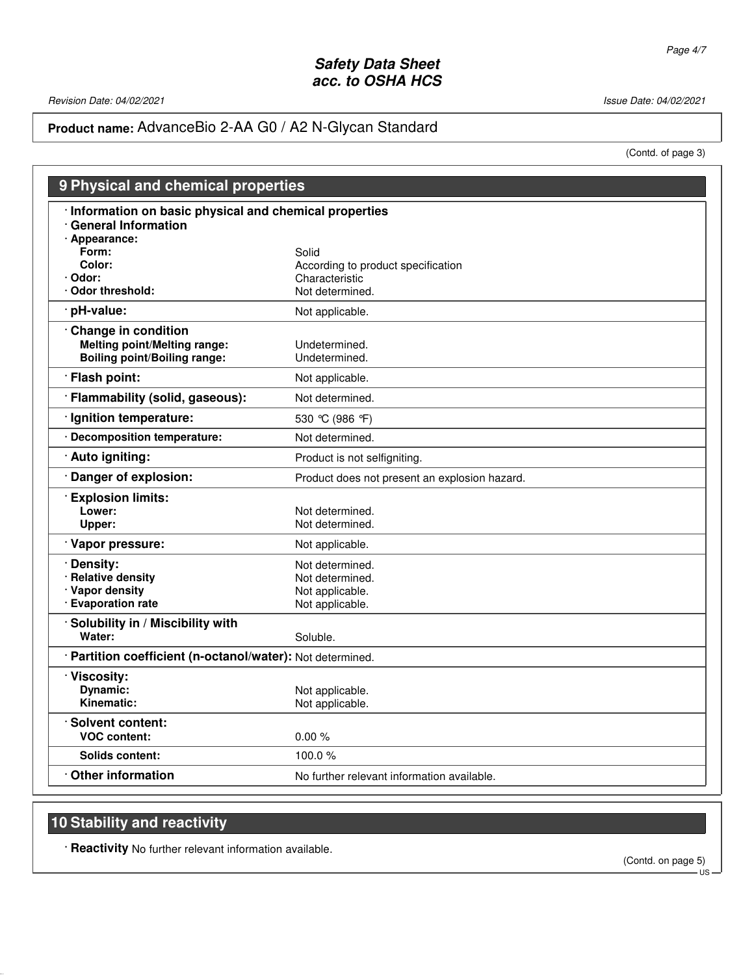Revision Date: 04/02/2021 Issue Date: 04/02/2021

# **Product name:** AdvanceBio 2-AA G0 / A2 N-Glycan Standard

(Contd. of page 3)

| 9 Physical and chemical properties                                                                       |                                                                                  |  |
|----------------------------------------------------------------------------------------------------------|----------------------------------------------------------------------------------|--|
| Information on basic physical and chemical properties<br><b>General Information</b>                      |                                                                                  |  |
| · Appearance:<br>Form:<br>Color:<br>· Odor:<br>Odor threshold:                                           | Solid<br>According to product specification<br>Characteristic<br>Not determined. |  |
| pH-value:                                                                                                | Not applicable.                                                                  |  |
| <b>Change in condition</b><br><b>Melting point/Melting range:</b><br><b>Boiling point/Boiling range:</b> | Undetermined.<br>Undetermined.                                                   |  |
| · Flash point:                                                                                           | Not applicable.                                                                  |  |
| · Flammability (solid, gaseous):                                                                         | Not determined.                                                                  |  |
| · Ignition temperature:                                                                                  | 530 °C (986 °F)                                                                  |  |
| · Decomposition temperature:                                                                             | Not determined.                                                                  |  |
| · Auto igniting:                                                                                         | Product is not selfigniting.                                                     |  |
| Danger of explosion:                                                                                     | Product does not present an explosion hazard.                                    |  |
| <b>Explosion limits:</b><br>Lower:<br>Upper:                                                             | Not determined.<br>Not determined.                                               |  |
| · Vapor pressure:                                                                                        | Not applicable.                                                                  |  |
| · Density:<br><b>Relative density</b><br>· Vapor density<br>· Evaporation rate                           | Not determined.<br>Not determined.<br>Not applicable.<br>Not applicable.         |  |
| Solubility in / Miscibility with<br>Water:                                                               | Soluble.                                                                         |  |
| · Partition coefficient (n-octanol/water): Not determined.                                               |                                                                                  |  |
| · Viscosity:<br>Dynamic:<br>Kinematic:                                                                   | Not applicable.<br>Not applicable.                                               |  |
| · Solvent content:<br><b>VOC content:</b>                                                                | 0.00%                                                                            |  |
| Solids content:                                                                                          | 100.0 $%$                                                                        |  |
| <b>Other information</b>                                                                                 | No further relevant information available.                                       |  |

# **10 Stability and reactivity**

52.0.1.1

· **Reactivity** No further relevant information available.

(Contd. on page 5)

- ÚS –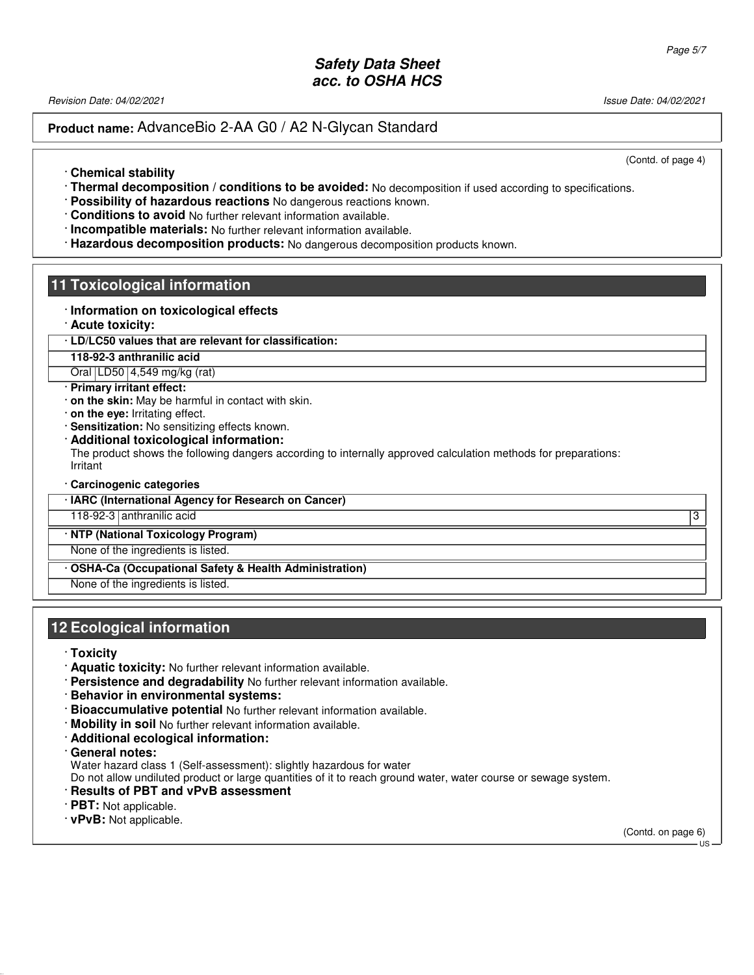Revision Date: 04/02/2021 2012 2021 2022 20:30 20:30 20:30 20:30 20:30 20:30 20:30 20:30 20:30 20:30 20:30 20:30 20:30 20:30 20:30 20:30 20:30 20:30 20:30 20:30 20:30 20:30 20:30 20:30 20:30 20:30 20:30 20:30 20:30 20:30 2

### **Product name:** AdvanceBio 2-AA G0 / A2 N-Glycan Standard

(Contd. of page 4)

- · **Chemical stability**
- · **Thermal decomposition / conditions to be avoided:** No decomposition if used according to specifications.
- · **Possibility of hazardous reactions** No dangerous reactions known.
- · **Conditions to avoid** No further relevant information available.
- · **Incompatible materials:** No further relevant information available.
- · **Hazardous decomposition products:** No dangerous decomposition products known.

### **11 Toxicological information**

- · **Information on toxicological effects**
- · **Acute toxicity:**

#### · **LD/LC50 values that are relevant for classification:**

**118-92-3 anthranilic acid**

Oral LD50 4,549 mg/kg (rat)

#### · **Primary irritant effect:**

- · **on the skin:** May be harmful in contact with skin.
- · **on the eye:** Irritating effect.
- · **Sensitization:** No sensitizing effects known.
- · **Additional toxicological information:**

The product shows the following dangers according to internally approved calculation methods for preparations: Irritant

· **Carcinogenic categories**

· **IARC (International Agency for Research on Cancer)**

118-92-3 anthranilic acid 3

· **NTP (National Toxicology Program)**

None of the ingredients is listed.

· **OSHA-Ca (Occupational Safety & Health Administration)**

None of the ingredients is listed.

### **12 Ecological information**

· **Toxicity**

52.0.1.1

- · **Aquatic toxicity:** No further relevant information available.
- · **Persistence and degradability** No further relevant information available.
- · **Behavior in environmental systems:**
- · **Bioaccumulative potential** No further relevant information available.
- · **Mobility in soil** No further relevant information available.
- · **Additional ecological information:**
- · **General notes:**
- Water hazard class 1 (Self-assessment): slightly hazardous for water

Do not allow undiluted product or large quantities of it to reach ground water, water course or sewage system.

- · **Results of PBT and vPvB assessment**
- · **PBT:** Not applicable.
- · **vPvB:** Not applicable.

(Contd. on page 6)  $-1$ IS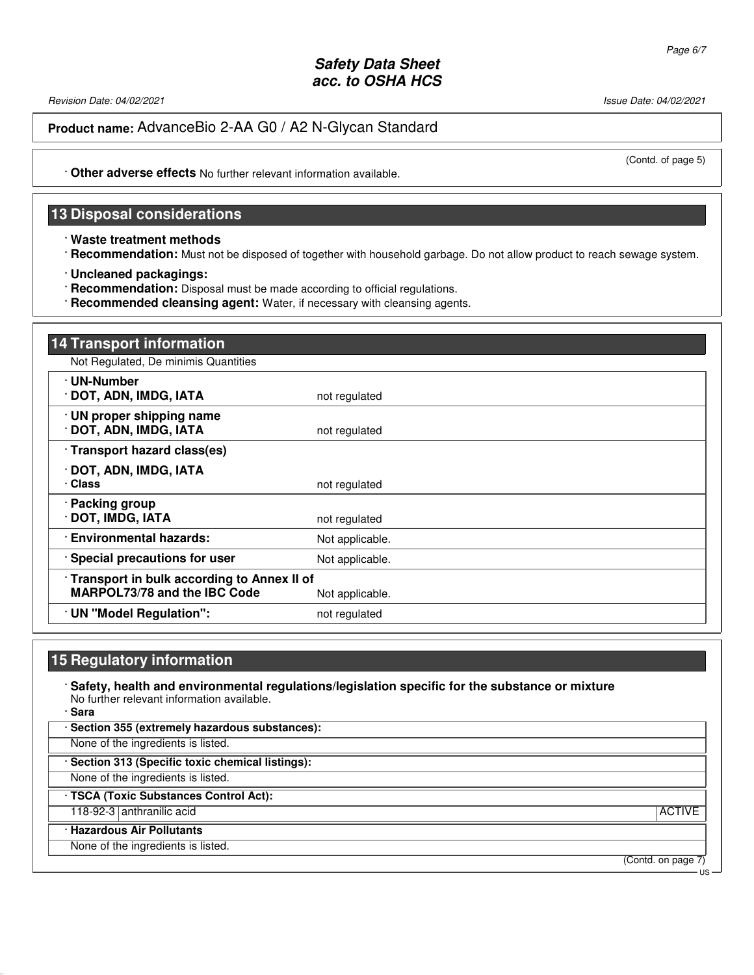Revision Date: 04/02/2021 2012 2021 2022 20:30 20:30 20:30 20:30 20:30 20:30 20:30 20:30 20:30 20:30 20:30 20:30 20:30 20:30 20:30 20:30 20:30 20:30 20:30 20:30 20:30 20:30 20:30 20:30 20:30 20:30 20:30 20:30 20:30 20:30 2

**Product name:** AdvanceBio 2-AA G0 / A2 N-Glycan Standard

(Contd. of page 5)

· **Other adverse effects** No further relevant information available.

### **13 Disposal considerations**

· **Waste treatment methods**

· **Recommendation:** Must not be disposed of together with household garbage. Do not allow product to reach sewage system.

· **Uncleaned packagings:**

· **Recommendation:** Disposal must be made according to official regulations.

· **Recommended cleansing agent:** Water, if necessary with cleansing agents.

| <b>14 Transport information</b>                                                     |                 |
|-------------------------------------------------------------------------------------|-----------------|
| Not Regulated, De minimis Quantities                                                |                 |
| · UN-Number<br>· DOT, ADN, IMDG, IATA                                               | not regulated   |
| · UN proper shipping name<br>· DOT, ADN, IMDG, IATA                                 | not regulated   |
| Transport hazard class(es)                                                          |                 |
| · DOT, ADN, IMDG, IATA<br>· Class                                                   | not regulated   |
| · Packing group<br>· DOT, IMDG, IATA                                                | not regulated   |
| <b>Environmental hazards:</b>                                                       | Not applicable. |
| · Special precautions for user                                                      | Not applicable. |
| · Transport in bulk according to Annex II of<br><b>MARPOL73/78 and the IBC Code</b> | Not applicable. |
| UN "Model Regulation":                                                              | not regulated   |

### **15 Regulatory information**

52.0.1.1

· **Safety, health and environmental regulations/legislation specific for the substance or mixture** No further relevant information available. · **Sara**

· **Section 355 (extremely hazardous substances):** None of the ingredients is listed. · **Section 313 (Specific toxic chemical listings):** None of the ingredients is listed. · **TSCA (Toxic Substances Control Act):** 118-92-3 anthranilic acid ACTIVE and ACTIVE and ACTIVE and ACTIVE and ACTIVE and ACTIVE and ACTIVE and ACTIVE and ACTIVE and ACTIVE and ACTIVE and ACTIVE and ACTIVE and ACTIVE and ACTIVE and ACTIVE and ACTIVE and ACTIVE an · **Hazardous Air Pollutants** None of the ingredients is listed.

(Contd. on page 7)

US